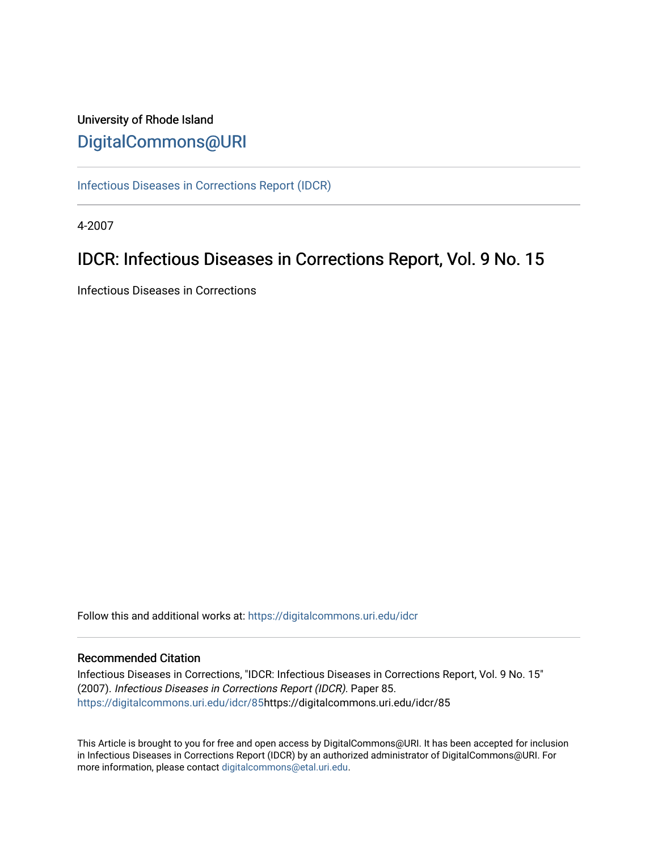# University of Rhode Island [DigitalCommons@URI](https://digitalcommons.uri.edu/)

[Infectious Diseases in Corrections Report \(IDCR\)](https://digitalcommons.uri.edu/idcr)

4-2007

# IDCR: Infectious Diseases in Corrections Report, Vol. 9 No. 15

Infectious Diseases in Corrections

Follow this and additional works at: [https://digitalcommons.uri.edu/idcr](https://digitalcommons.uri.edu/idcr?utm_source=digitalcommons.uri.edu%2Fidcr%2F85&utm_medium=PDF&utm_campaign=PDFCoverPages)

# Recommended Citation

Infectious Diseases in Corrections, "IDCR: Infectious Diseases in Corrections Report, Vol. 9 No. 15" (2007). Infectious Diseases in Corrections Report (IDCR). Paper 85. [https://digitalcommons.uri.edu/idcr/85h](https://digitalcommons.uri.edu/idcr/85?utm_source=digitalcommons.uri.edu%2Fidcr%2F85&utm_medium=PDF&utm_campaign=PDFCoverPages)ttps://digitalcommons.uri.edu/idcr/85

This Article is brought to you for free and open access by DigitalCommons@URI. It has been accepted for inclusion in Infectious Diseases in Corrections Report (IDCR) by an authorized administrator of DigitalCommons@URI. For more information, please contact [digitalcommons@etal.uri.edu.](mailto:digitalcommons@etal.uri.edu)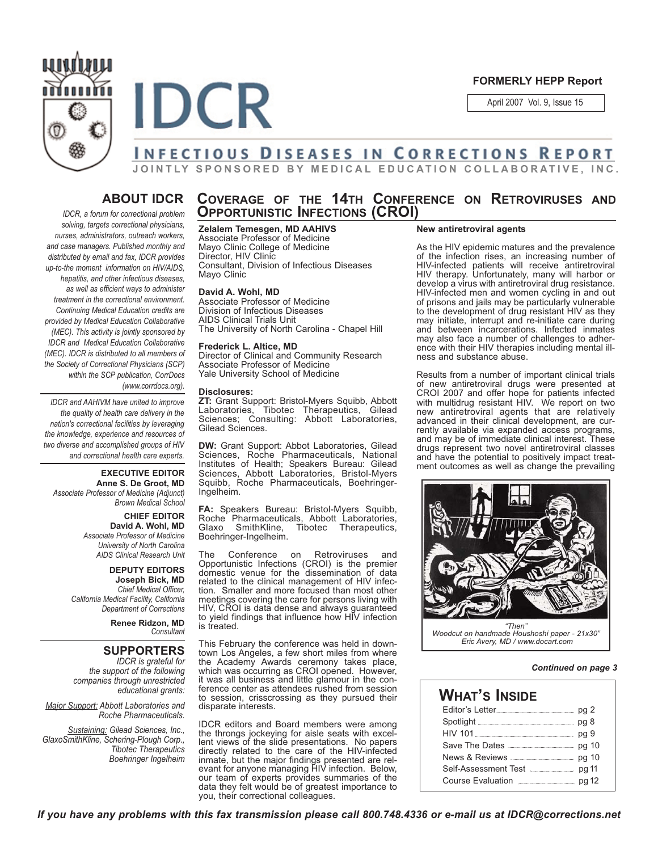



#### **FORMERLY HEPP Report**

April 2007 Vol. 9, Issue 15

# **JOINTLY SPONSORED BY MEDICAL EDUCATION COLLABORATIVE, INC.**

# **ABOUT IDCR**

*IDCR, a forum for correctional problem solving, targets correctional physicians, nurses, administrators, outreach workers, and case managers. Published monthly and distributed by email and fax, IDCR provides up-to-the moment information on HIV/AIDS, hepatitis, and other infectious diseases, as well as efficient ways to administer treatment in the correctional environment. Continuing Medical Education credits are provided by Medical Education Collaborative (MEC). This activity is jointly sponsored by IDCR and Medical Education Collaborative (MEC). IDCR is distributed to all members of the Society of Correctional Physicians (SCP) within the SCP publication, CorrDocs (www.corrdocs.org).*

*IDCR and AAHIVM have united to improve the quality of health care delivery in the nation's correctional facilities by leveraging the knowledge, experience and resources of two diverse and accomplished groups of HIV and correctional health care experts.* 

#### **EXECUTIVE EDITOR Anne S. De Groot, MD** *Associate Professor of Medicine (Adjunct)*

*Brown Medical School*

# **CHIEF EDITOR**

**David A. Wohl, MD** *Associate Professor of Medicine University of North Carolina AIDS Clinical Research Unit*

#### **DEPUTY EDITORS Joseph Bick, MD** *Chief Medical Officer, California Medical Facility, California Department of Corrections*

**Renee Ridzon, MD** *Consultant*

# **SUPPORTERS**

*IDCR is grateful for the support of the following companies through unrestricted educational grants:*

*Major Support: Abbott Laboratories and Roche Pharmaceuticals.* 

*Sustaining: Gilead Sciences, Inc., GlaxoSmithKline, Schering-Plough Corp., Tibotec Therapeutics Boehringer Ingelheim*

# **COVERAGE OF THE 14TH CONFERENCE ON RETROVIRUSES AND OPPORTUNISTIC INFECTIONS (CROI)**

#### **Zelalem Temesgen, MD AAHIVS** Associate Professor of Medicine

Mayo Clinic College of Medicine Director, HIV Clinic Consultant, Division of Infectious Diseases Mayo Clinic

#### **David A. Wohl, MD**

Associate Professor of Medicine Division of Infectious Diseases AIDS Clinical Trials Unit The University of North Carolina - Chapel Hill

#### **Frederick L. Altice, MD**

Director of Clinical and Community Research Associate Professor of Medicine Yale University School of Medicine

#### **Disclosures:**

**ZT:** Grant Support: Bristol-Myers Squibb, Abbott Laboratories, Tibotec Therapeutics, Gilead Sciences; Consulting: Abbott Laboratories, Gilead Sciences.

**DW:** Grant Support: Abbot Laboratories, Gilead Sciences, Roche Pharmaceuticals, National Institutes of Health; Speakers Bureau: Gilead Sciences, Abbott Laboratories, Bristol-Myers Squibb, Roche Pharmaceuticals, Boehringer-Ingelheim.

**FA:** Speakers Bureau: Bristol-Myers Squibb, Roche Pharmaceuticals, Abbott Laboratories,<br>Glaxo SmithKline, Tibotec Therapeutics, Tibotec Therapeutics, Boehringer-Ingelheim.

The Conference on Retroviruses and Opportunistic Infections (CROI) is the premier domestic venue for the dissemination of data related to the clinical management of HIV infection. Smaller and more focused than most other meetings covering the care for persons living with HIV, CROI is data dense and always guaranteed to yield findings that influence how HIV infection is treated.

This February the conference was held in downtown Los Angeles, a few short miles from where the Academy Awards ceremony takes place, which was occurring as CROI opened. However, it was all business and little glamour in the conference center as attendees rushed from session to session, crisscrossing as they pursued their disparate interests.

IDCR editors and Board members were among the throngs jockeying for aisle seats with excellent views of the slide presentations. No papers directly related to the care of the HIV-infected inmate, but the major findings presented are relevant for anyone managing HIV infection. Below, our team of experts provides summaries of the data they felt would be of greatest importance to you, their correctional colleagues.

#### **New antiretroviral agents**

As the HIV epidemic matures and the prevalence of the infection rises, an increasing number of HIV-infected patients will receive antiretroviral HIV therapy. Unfortunately, many will harbor or develop a virus with antiretroviral drug resistance. HIV-infected men and women cycling in and out of prisons and jails may be particularly vulnerable to the development of drug resistant HIV as they may initiate, interrupt and re-initiate care during and between incarcerations. Infected inmates may also face a number of challenges to adherence with their HIV therapies including mental illness and substance abuse.

Results from a number of important clinical trials of new antiretroviral drugs were presented at CROI 2007 and offer hope for patients infected with multidrug resistant HIV. We report on two new antiretroviral agents that are relatively advanced in their clinical development, are currently available via expanded access programs, and may be of immediate clinical interest. These drugs represent two novel antiretroviral classes and have the potential to positively impact treatment outcomes as well as change the prevailing



#### *Continued on page 3*

| <b>WHAT'S INSIDE</b>                     |  |
|------------------------------------------|--|
| Editor's Letter                          |  |
|                                          |  |
|                                          |  |
|                                          |  |
|                                          |  |
| Self-Assessment Test <b>Manual</b> Pg 11 |  |
| Course Evaluation <b>Example 2</b> pg 12 |  |

*If you have any problems with this fax transmission please call 800.748.4336 or e-mail us at IDCR@corrections.net*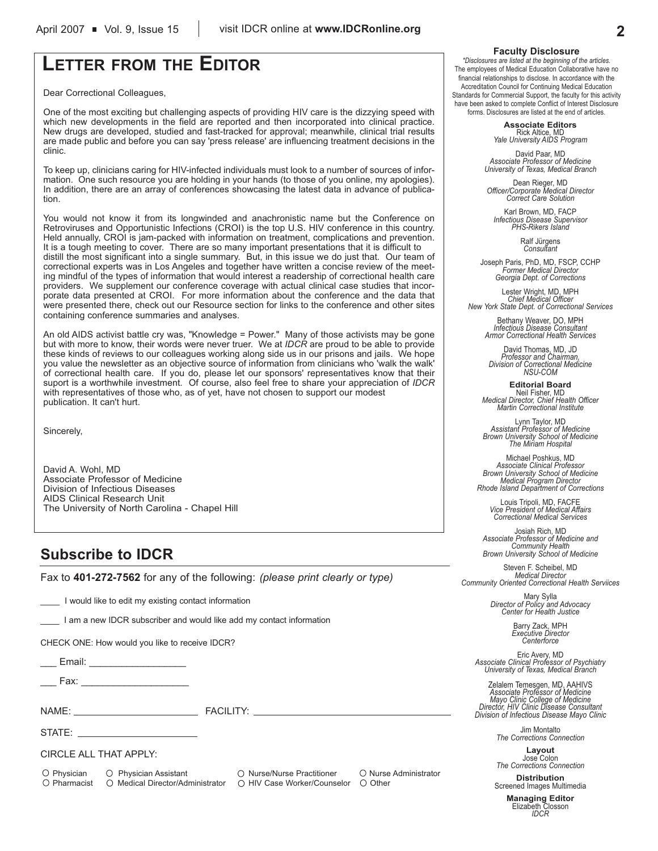# **LETTER FROM THE EDITOR**

Dear Correctional Colleagues,

One of the most exciting but challenging aspects of providing HIV care is the dizzying speed with which new developments in the field are reported and then incorporated into clinical practice. New drugs are developed, studied and fast-tracked for approval; meanwhile, clinical trial results are made public and before you can say 'press release' are influencing treatment decisions in the clinic.

To keep up, clinicians caring for HIV-infected individuals must look to a number of sources of information. One such resource you are holding in your hands (to those of you online, my apologies). In addition, there are an array of conferences showcasing the latest data in advance of publication.

You would not know it from its longwinded and anachronistic name but the Conference on Retroviruses and Opportunistic Infections (CROI) is the top U.S. HIV conference in this country. Held annually, CROI is jam-packed with information on treatment, complications and prevention. It is a tough meeting to cover. There are so many important presentations that it is difficult to distill the most significant into a single summary. But, in this issue we do just that. Our team of correctional experts was in Los Angeles and together have written a concise review of the meeting mindful of the types of information that would interest a readership of correctional health care providers. We supplement our conference coverage with actual clinical case studies that incorporate data presented at CROI. For more information about the conference and the data that were presented there, check out our Resource section for links to the conference and other sites containing conference summaries and analyses.

An old AIDS activist battle cry was, "Knowledge = Power." Many of those activists may be gone but with more to know, their words were never truer. We at *IDCR* are proud to be able to provide these kinds of reviews to our colleagues working along side us in our prisons and jails. We hope you value the newsletter as an objective source of information from clinicians who 'walk the walk' of correctional health care. If you do, please let our sponsors' representatives know that their suport is a worthwhile investment. Of course, also feel free to share your appreciation of *IDCR* with representatives of those who, as of yet, have not chosen to support our modest publication. It can't hurt.

Sincerely,

David A. Wohl, MD Associate Professor of Medicine Division of Infectious Diseases AIDS Clinical Research Unit The University of North Carolina - Chapel Hill

# **Subscribe to IDCR**

Fax to **401-272-7562** for any of the following: *(please print clearly or type)*

I would like to edit my existing contact information

I am a new IDCR subscriber and would like add my contact information

CHECK ONE: How would you like to receive IDCR?

\_\_ Email: \_\_\_\_\_\_\_\_\_\_\_\_\_\_\_\_\_\_\_\_\_

Fax:  $\overline{\phantom{a}}$ 

NAME: THE STATE STATE STATE STATE STATE STATE STATE STATE STATE STATE STATE STATE STATE STATE STATE STATE STATE STATE STATE STATE STATE STATE STATE STATE STATE STATE STATE STATE STATE STATE STATE STATE STATE STATE STATE ST

STATE:

CIRCLE ALL THAT APPLY:

O Physician O Physician Assistant O Nurse/Nurse Practitioner O Nurse Administrator  $\bigcirc$  Pharmacist  $\bigcirc$  Medical Director/Administrator  $\bigcirc$  HIV Case Worker/Counselor  $\bigcirc$  Other

#### **Faculty Disclosure**

*\*Disclosures are listed at the beginning of the articles.* The employees of Medical Education Collaborative have no financial relationships to disclose. In accordance with the Accreditation Council for Continuing Medical Education Standards for Commercial Support, the faculty for this activity have been asked to complete Conflict of Interest Disclosure forms. Disclosures are listed at the end of articles.

> **Associate Editors** Rick Altice, MD *Yale University AIDS Program*

David Paar, MD *Associate Professor of Medicine University of Texas, Medical Branch*

Dean Rieger, MD *Officer/Corporate Medical Director Correct Care Solution*

Karl Brown, MD, FACP *Infectious Disease Supervisor PHS-Rikers Island*

Ralf Jürgens *Consultant*

Joseph Paris, PhD, MD, FSCP, CCHP *Former Medical Director Georgia Dept. of Corrections*

Lester Wright, MD, MPH *Chief Medical Officer New York State Dept. of Correctional Services*

> Bethany Weaver, DO, MPH *Infectious Disease Consultant Armor Correctional Health Services*

David Thomas, MD, JD *Professor and Chairman, Division of Correctional Medicine NSU-COM*

**Editorial Board** Neil Fisher, MD *Medical Director, Chief Health Officer Martin Correctional Institute*

Lynn Taylor, MD *Assistant Professor of Medicine Brown University School of Medicine The Miriam Hospital*

Michael Poshkus, MD *Associate Clinical Professor Brown University School of Medicine Medical Program Director Rhode Island Department of Corrections*

Louis Tripoli, MD, FACFE *Vice President of Medical Affairs Correctional Medical Services*

Josiah Rich, MD *Associate Professor of Medicine and Community Health Brown University School of Medicine*

Steven F. Scheibel, MD *Medical Director Community Oriented Correctional Health Serviices*

Mary Sylla *Director of Policy and Advocacy Center for Health Justice*

Barry Zack, MPH *Executive Director Centerforce*

Eric Avery, MD *Associate Clinical Professor of Psychiatry University of Texas, Medical Branch*

Zelalem Temesgen, MD, AAHIVS *Associate Professor of Medicine Mayo Clinic College of Medicine Director, HIV Clinic Disease Consultant Division of Infectious Disease Mayo Clinic*

> Jim Montalto *The Corrections Connection*

**Layout** Jose Colon *The Corrections Connection*

**Distribution** Screened Images Multimedia

**Managing Editor** Elizabeth Closson *IDCR*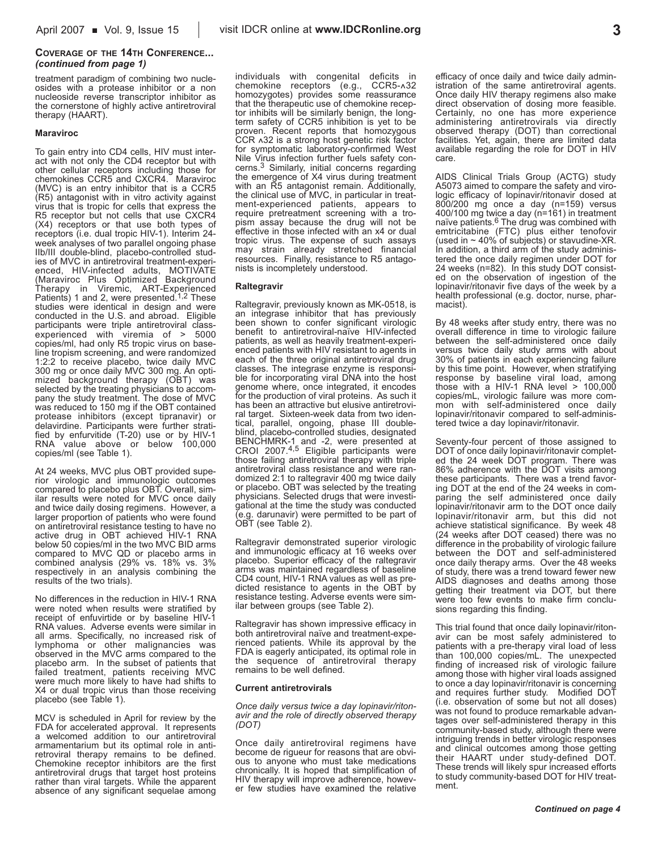#### **COVERAGE OF THE 14TH CONFERENCE...** *(continued from page 1)*

treatment paradigm of combining two nucleosides with a protease inhibitor or a non nucleoside reverse transcriptor inhibitor as the cornerstone of highly active antiretroviral therapy (HAART).

#### **Maraviroc**

To gain entry into CD4 cells, HIV must interact with not only the CD4 receptor but with other cellular receptors including those for chemokines CCR5 and CXCR4. Maraviroc (MVC) is an entry inhibitor that is a CCR5 (R5) antagonist with in vitro activity against virus that is tropic for cells that express the R5 receptor but not cells that use CXCR4 (X4) receptors or that use both types of receptors (i.e. dual tropic HIV-1). Interim 24 week analyses of two parallel ongoing phase IIb/III double-blind, placebo-controlled studies of MVC in antiretroviral treatment-experienced, HIV-infected adults, MOTIVATE (Maraviroc Plus Optimized Background Therapy in Viremic, ART-Experienced Patients) 1 and 2, were presented.<sup>1,2</sup> These studies were identical in design and were conducted in the U.S. and abroad. Eligible participants were triple antiretroviral classexperienced with viremia of > 5000 copies/ml, had only R5 tropic virus on baseline tropism screening, and were randomized 1:2:2 to receive placebo, twice daily MVC 300 mg or once daily MVC 300 mg. An optimized background therapy (OBT) was selected by the treating physicians to accompany the study treatment. The dose of MVC was reduced to 150 mg if the OBT contained protease inhibitors (except tipranavir) or delavirdine. Participants were further stratified by enfurvitide (T-20) use or by HIV-1 RNA value above or below 100,000 copies/ml (see Table 1).

At 24 weeks, MVC plus OBT provided superior virologic and immunologic outcomes compared to placebo plus OBT. Overall, similar results were noted for MVC once daily and twice daily dosing regimens. However, a larger proportion of patients who were found on antiretroviral resistance testing to have no active drug in OBT achieved HIV-1 RNA below 50 copies/ml in the two MVC BID arms compared to MVC QD or placebo arms in combined analysis (29% vs. 18% vs. 3% respectively in an analysis combining the results of the two trials).

No differences in the reduction in HIV-1 RNA were noted when results were stratified by receipt of enfuvirtide or by baseline HIV-1 RNA values. Adverse events were similar in all arms. Specifically, no increased risk of lymphoma or other malignancies was observed in the MVC arms compared to the placebo arm. In the subset of patients that failed treatment, patients receiving MVC were much more likely to have had shifts to X4 or dual tropic virus than those receiving placebo (see Table 1).

MCV is scheduled in April for review by the FDA for accelerated approval. It represents a welcomed addition to our antiretroviral armamentarium but its optimal role in antiretroviral therapy remains to be defined. Chemokine receptor inhibitors are the first antiretroviral drugs that target host proteins rather than viral targets. While the apparent absence of any significant sequelae among

individuals with congenital deficits in chemokine receptors (e.g., CCR5-^32 homozygotes) provides some reassurance that the therapeutic use of chemokine receptor inhibits will be similarly benign, the longterm safety of CCR5 inhibition is yet to be proven. Recent reports that homozygous CCR ^32 is a strong host genetic risk factor for symptomatic laboratory-confirmed West Nile Virus infection further fuels safety concerns.3 Similarly, initial concerns regarding the emergence of X4 virus during treatment with an R5 antagonist remain. Additionally, the clinical use of MVC, in particular in treatment-experienced patients, appears to require pretreatment screening with a tropism assay because the drug will not be effective in those infected with an x4 or dual tropic virus. The expense of such assays may strain already stretched financial resources. Finally, resistance to R5 antagonists is incompletely understood.

#### **Raltegravir**

Raltegravir, previously known as MK-0518, is an integrase inhibitor that has previously been shown to confer significant virologic benefit to antiretroviral-naïve HIV-infected patients, as well as heavily treatment-experienced patients with HIV resistant to agents in each of the three original antiretroviral drug classes. The integrase enzyme is responsible for incorporating viral DNA into the host genome where, once integrated, it encodes for the production of viral proteins. As such it has been an attractive but elusive antiretroviral target. Sixteen-week data from two identical, parallel, ongoing, phase III doubleblind, placebo-controlled studies, designated BENCHMRK-1 and -2, were presented at CROI 2007.4,5 Eligible participants were those failing antiretroviral therapy with triple antiretroviral class resistance and were randomized 2:1 to raltegravir 400 mg twice daily or placebo. OBT was selected by the treating physicians. Selected drugs that were investigational at the time the study was conducted (e.g. darunavir) were permitted to be part of OBT (see Table 2).

Raltegravir demonstrated superior virologic and immunologic efficacy at 16 weeks over placebo. Superior efficacy of the raltegravir arms was maintained regardless of baseline CD4 count, HIV-1 RNA values as well as predicted resistance to agents in the OBT by resistance testing. Adverse events were similar between groups (see Table 2).

Raltegravir has shown impressive efficacy in both antiretroviral naïve and treatment-experienced patients. While its approval by the FDA is eagerly anticipated, its optimal role in the sequence of antiretroviral therapy remains to be well defined.

#### **Current antiretrovirals**

*Once daily versus twice a day lopinavir/ritonavir and the role of directly observed therapy (DOT)*

Once daily antiretroviral regimens have become de rigueur for reasons that are obvious to anyone who must take medications chronically. It is hoped that simplification of HIV therapy will improve adherence, however few studies have examined the relative

efficacy of once daily and twice daily administration of the same antiretroviral agents. Once daily HIV therapy regimens also make direct observation of dosing more feasible. Certainly, no one has more experience administering antiretrovirals via directly observed therapy (DOT) than correctional facilities. Yet, again, there are limited data available regarding the role for DOT in HIV care.

AIDS Clinical Trials Group (ACTG) study A5073 aimed to compare the safety and virologic efficacy of lopinavir/ritonavir dosed at 800/200 mg once a day (n=159) versus 400/100 mg twice a day (n=161) in treatment naïve patients.<sup>6</sup> The drug was combined with emtricitabine (FTC) plus either tenofovir (used in  $\sim$  40% of subjects) or stavudine-XR. In addition, a third arm of the study administered the once daily regimen under DOT for 24 weeks (n=82). In this study DOT consisted on the observation of ingestion of the lopinavir/ritonavir five days of the week by a health professional (e.g. doctor, nurse, pharmacist).

By 48 weeks after study entry, there was no overall difference in time to virologic failure between the self-administered once daily versus twice daily study arms with about 30% of patients in each experiencing failure by this time point. However, when stratifying response by baseline viral load, among those with a HIV-1 RNA level > 100,000 copies/mL, virologic failure was more common with self-administered once daily lopinavir/ritonavir compared to self-administered twice a day lopinavir/ritonavir.

Seventy-four percent of those assigned to DOT of once daily lopinavir/ritonavir completed the 24 week DOT program. There was 86% adherence with the DOT visits among these participants. There was a trend favoring DOT at the end of the 24 weeks in comparing the self administered once daily lopinavir/ritonavir arm to the DOT once daily lopinavir/ritonavir arm, but this did not achieve statistical significance. By week 48 (24 weeks after DOT ceased) there was no difference in the probability of virologic failure between the DOT and self-administered once daily therapy arms. Over the 48 weeks of study, there was a trend toward fewer new AIDS diagnoses and deaths among those getting their treatment via DOT, but there were too few events to make firm conclusions regarding this finding.

This trial found that once daily lopinavir/ritonavir can be most safely administered to patients with a pre-therapy viral load of less than 100,000 copies/mL. The unexpected finding of increased risk of virologic failure among those with higher viral loads assigned to once a day lopinavir/ritonavir is concerning and requires further study. Modified DOT (i.e. observation of some but not all doses) was not found to produce remarkable advantages over self-administered therapy in this community-based study, although there were intriguing trends in better virologic responses and clinical outcomes among those getting their HAART under study-defined DOT. These trends will likely spur increased efforts to study community-based DOT for HIV treatment.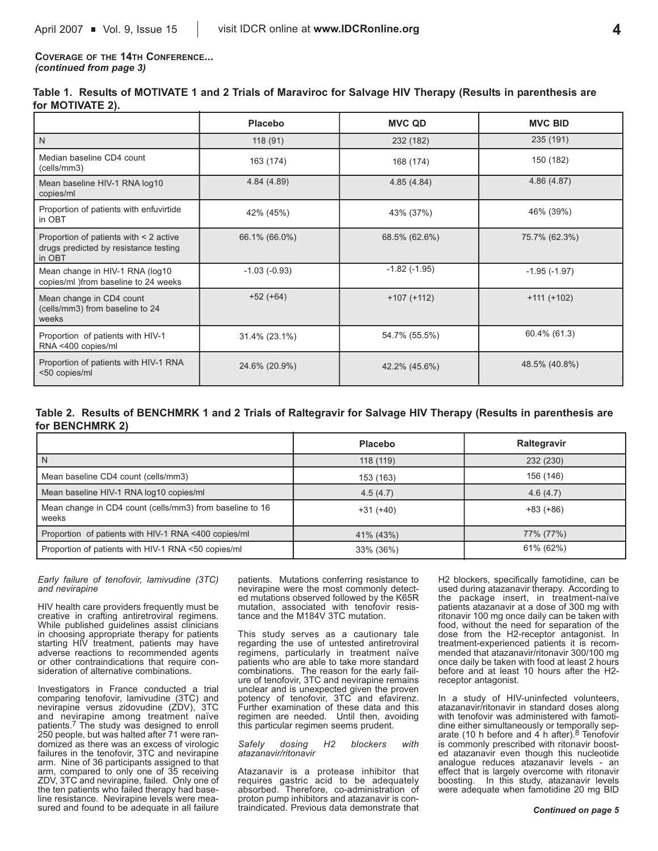**COVERAGE OF THE 14TH CONFERENCE...** *(continued from page 3)*

|                  | Table 1. Results of MOTIVATE 1 and 2 Trials of Maraviroc for Salvage HIV Therapy (Results in parenthesis are |  |  |  |  |  |
|------------------|--------------------------------------------------------------------------------------------------------------|--|--|--|--|--|
| for MOTIVATE 2). |                                                                                                              |  |  |  |  |  |

|                                                                                           | Placebo        | <b>MVC QD</b>     | <b>MVC BID</b> |
|-------------------------------------------------------------------------------------------|----------------|-------------------|----------------|
| N                                                                                         | 118(91)        | 232 (182)         | 235 (191)      |
| Median baseline CD4 count<br>(cells/mm3)                                                  | 163 (174)      | 168 (174)         | 150 (182)      |
| Mean baseline HIV-1 RNA log10<br>copies/ml                                                | 4.84(4.89)     | 4.85(4.84)        | 4.86 (4.87)    |
| Proportion of patients with enfuvirtide<br>in OBT                                         | 42% (45%)      | 43% (37%)         | 46% (39%)      |
| Proportion of patients with < 2 active<br>drugs predicted by resistance testing<br>in OBT | 66.1% (66.0%)  | 68.5% (62.6%)     | 75.7% (62.3%)  |
| Mean change in HIV-1 RNA (log10<br>copies/ml )from baseline to 24 weeks                   | $-1.03(-0.93)$ | $-1.82$ $(-1.95)$ | $-1.95(-1.97)$ |
| Mean change in CD4 count<br>(cells/mm3) from baseline to 24<br>weeks                      | $+52 (+64)$    | $+107 (+112)$     | $+111 (+102)$  |
| Proportion of patients with HIV-1<br>RNA <400 copies/ml                                   | 31.4% (23.1%)  | 54.7% (55.5%)     | 60.4% (61.3)   |
| Proportion of patients with HIV-1 RNA<br><50 copies/ml                                    | 24.6% (20.9%)  | 42.2% (45.6%)     | 48.5% (40.8%)  |

### **Table 2. Results of BENCHMRK 1 and 2 Trials of Raltegravir for Salvage HIV Therapy (Results in parenthesis are for BENCHMRK 2)**

|                                                                   | <b>Placebo</b> | Raltegravir |
|-------------------------------------------------------------------|----------------|-------------|
| N                                                                 | 118 (119)      | 232 (230)   |
| Mean baseline CD4 count (cells/mm3)                               | 153 (163)      | 156 (146)   |
| Mean baseline HIV-1 RNA log10 copies/ml                           | 4.5(4.7)       | 4.6(4.7)    |
| Mean change in CD4 count (cells/mm3) from baseline to 16<br>weeks | $+31 (+40)$    | $+83 (+86)$ |
| Proportion of patients with HIV-1 RNA <400 copies/ml              | 41% (43%)      | 77% (77%)   |
| Proportion of patients with HIV-1 RNA <50 copies/ml               | 33% (36%)      | 61% (62%)   |

*Early failure of tenofovir, lamivudine (3TC) and nevirapine*

HIV health care providers frequently must be creative in crafting antiretroviral regimens. While published guidelines assist clinicians in choosing appropriate therapy for patients starting HIV treatment, patients may have adverse reactions to recommended agents or other contraindications that require consideration of alternative combinations.

Investigators in France conducted a trial comparing tenofovir, lamivudine (3TC) and nevirapine versus zidovudine (ZDV), 3TC and nevirapine among treatment naïve patients.<sup>7</sup> The study was designed to enroll 250 people, but was halted after 71 were randomized as there was an excess of virologic failures in the tenofovir, 3TC and nevirapine arm. Nine of 36 participants assigned to that arm, compared to only one of 35 receiving ZDV, 3TC and nevirapine, failed. Only one of the ten patients who failed therapy had baseline resistance. Nevirapine levels were measured and found to be adequate in all failure patients. Mutations conferring resistance to nevirapine were the most commonly detected mutations observed followed by the K65R mutation, associated with tenofovir resistance and the M184V 3TC mutation.

This study serves as a cautionary tale regarding the use of untested antiretroviral regimens, particularly in treatment naïve patients who are able to take more standard combinations. The reason for the early failure of tenofovir, 3TC and nevirapine remains unclear and is unexpected given the proven potency of tenofovir, 3TC and efavirenz. Further examination of these data and this regimen are needed. Until then, avoiding this particular regimen seems prudent.

*Safely dosing H2 blockers with atazanavir/ritonavir*

Atazanavir is a protease inhibitor that requires gastric acid to be adequately absorbed. Therefore, co-administration of proton pump inhibitors and atazanavir is contraindicated. Previous data demonstrate that H2 blockers, specifically famotidine, can be used during atazanavir therapy. According to the package insert, in treatment-naïve patients atazanavir at a dose of 300 mg with ritonavir 100 mg once daily can be taken with food, without the need for separation of the dose from the H2-receptor antagonist. In treatment-experienced patients it is recommended that atazanavir/ritonavir 300/100 mg once daily be taken with food at least 2 hours before and at least 10 hours after the H2 receptor antagonist.

In a study of HIV-uninfected volunteers, atazanavir/ritonavir in standard doses along with tenofovir was administered with famotidine either simultaneously or temporally separate (10 h before and  $4$  h after).<sup>8</sup> Tenofovir is commonly prescribed with ritonavir boosted atazanavir even though this nucleotide analogue reduces atazanavir levels - an effect that is largely overcome with ritonavir boosting. In this study, atazanavir levels were adequate when famotidine 20 mg BID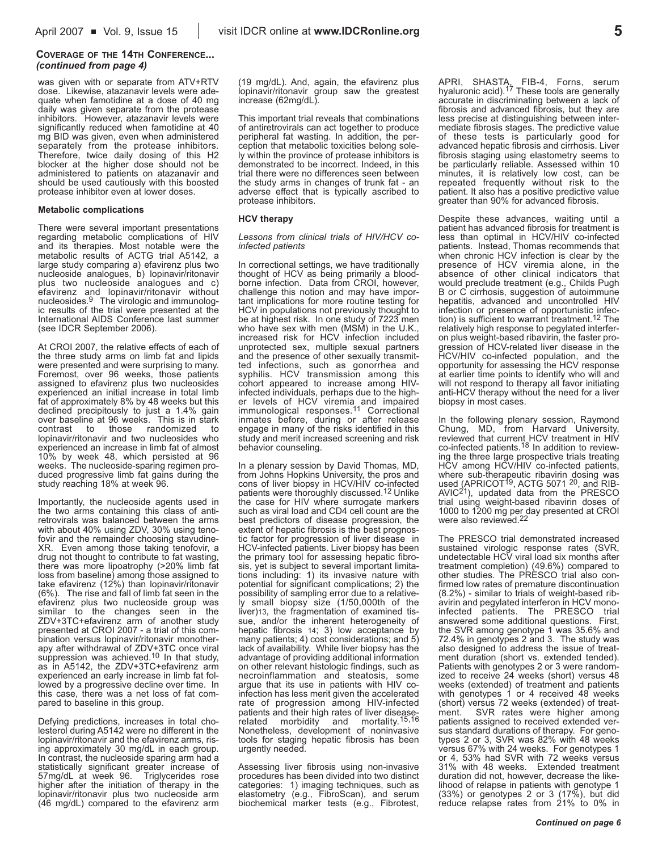#### **COVERAGE OF THE 14TH CONFERENCE...** *(continued from page 4)*

was given with or separate from ATV+RTV dose. Likewise, atazanavir levels were adequate when famotidine at a dose of 40 mg daily was given separate from the protease inhibitors. However, atazanavir levels were significantly reduced when famotidine at 40 mg BID was given, even when administered separately from the protease inhibitors. Therefore, twice daily dosing of this H2 blocker at the higher dose should not be administered to patients on atazanavir and should be used cautiously with this boosted protease inhibitor even at lower doses.

#### **Metabolic complications**

There were several important presentations regarding metabolic complications of HIV and its therapies. Most notable were the metabolic results of ACTG trial A5142, a large study comparing a) efavirenz plus two nucleoside analogues, b) lopinavir/ritonavir plus two nucleoside analogues and c) efavirenz and lopinavir/ritonavir without nucleosides.9 The virologic and immunologic results of the trial were presented at the International AIDS Conference last summer (see IDCR September 2006).

At CROI 2007, the relative effects of each of the three study arms on limb fat and lipids were presented and were surprising to many. Foremost, over 96 weeks, those patients assigned to efavirenz plus two nucleosides experienced an initial increase in total limb fat of approximately 8% by 48 weeks but this declined precipitously to just a 1.4% gain over baseline at 96 weeks. This is in stark<br>contrast to those randomized to contrast to those randomized lopinavir/ritonavir and two nucleosides who experienced an increase in limb fat of almost 10% by week 48, which persisted at 96 weeks. The nucleoside-sparing regimen produced progressive limb fat gains during the study reaching 18% at week 96.

Importantly, the nucleoside agents used in the two arms containing this class of antiretrovirals was balanced between the arms with about 40% using ZDV, 30% using tenofovir and the remainder choosing stavudine-XR. Even among those taking tenofovir, a drug not thought to contribute to fat wasting, there was more lipoatrophy (>20% limb fat loss from baseline) among those assigned to take efavirenz (12%) than lopinavir/ritonavir  $(6%)$ . The rise and fall of limb fat seen in the efavirenz plus two nucleoside group was similar to the changes seen in the ZDV+3TC+efavirenz arm of another study presented at CROI 2007 - a trial of this combination versus lopinavir/ritonavir monotherapy after withdrawal of ZDV+3TC once viral<br>suppression was achieved.<sup>10</sup> In that study, as in A5142, the ZDV+3TC+efavirenz arm experienced an early increase in limb fat followed by a progressive decline over time. In this case, there was a net loss of fat compared to baseline in this group.

Defying predictions, increases in total cholesterol during A5142 were no different in the lopinavir/ritonavir and the efavirenz arms, rising approximately 30 mg/dL in each group. In contrast, the nucleoside sparing arm had a statistically significant greater increase of 57mg/dL at week 96. Triglycerides rose higher after the initiation of therapy in the lopinavir/ritonavir plus two nucleoside arm (46 mg/dL) compared to the efavirenz arm (19 mg/dL). And, again, the efavirenz plus lopinavir/ritonavir group saw the greatest increase (62mg/dL).

This important trial reveals that combinations of antiretrovirals can act together to produce peripheral fat wasting. In addition, the perception that metabolic toxicities belong solely within the province of protease inhibitors is demonstrated to be incorrect. Indeed, in this trial there were no differences seen between the study arms in changes of trunk fat - an adverse effect that is typically ascribed to protease inhibitors.

#### **HCV therapy**

*Lessons from clinical trials of HIV/HCV coinfected patients*

In correctional settings, we have traditionally thought of HCV as being primarily a bloodborne infection. Data from CROI, however, challenge this notion and may have important implications for more routine testing for HCV in populations not previously thought to be at highest risk. In one study of 7223 men who have sex with men (MSM) in the U.K., increased risk for HCV infection included unprotected sex, multiple sexual partners and the presence of other sexually transmitted infections, such as gonorrhea and syphilis. HCV transmission among this cohort appeared to increase among HIVinfected individuals, perhaps due to the higher levels of HCV viremia and impaired<br>immunological responses.<sup>11</sup> Correctional inmates before, during or after release engage in many of the risks identified in this study and merit increased screening and risk behavior counseling.

In a plenary session by David Thomas, MD, from Johns Hopkins University, the pros and cons of liver biopsy in HCV/HIV co-infected patients were thoroughly discussed.12 Unlike the case for HIV where surrogate markers such as viral load and CD4 cell count are the best predictors of disease progression, the extent of hepatic fibrosis is the best prognostic factor for progression of liver disease in HCV-infected patients. Liver biopsy has been the primary tool for assessing hepatic fibrosis, yet is subject to several important limitations including: 1) its invasive nature with potential for significant complications; 2) the possibility of sampling error due to a relatively small biopsy size (1/50,000th of the liver)13, the fragmentation of examined tissue, and/or the inherent heterogeneity of hepatic fibrosis 14; 3) low acceptance by many patients; 4) cost considerations; and 5) lack of availability. While liver biopsy has the advantage of providing additional information on other relevant histologic findings, such as necroinflammation and steatosis, some argue that its use in patients with HIV coinfection has less merit given the accelerated rate of progression among HIV-infected patients and their high rates of liver disease-<br>related morbidity and mortality.<sup>15,16</sup> morbidity and Nonetheless, development of noninvasive tools for staging hepatic fibrosis has been urgently needed.

Assessing liver fibrosis using non-invasive procedures has been divided into two distinct categories: 1) imaging techniques, such as elastometry (e.g., FibroScan), and serum biochemical marker tests (e.g., Fibrotest,

APRI, SHASTA, FIB-4, Forns, serum<br>hyaluronic acid).<sup>17</sup> These tools are generally accurate in discriminating between a lack of fibrosis and advanced fibrosis, but they are less precise at distinguishing between intermediate fibrosis stages. The predictive value of these tests is particularly good for advanced hepatic fibrosis and cirrhosis. Liver fibrosis staging using elastometry seems to be particularly reliable. Assessed within 10 minutes, it is relatively low cost, can be repeated frequently without risk to the patient. It also has a positive predictive value greater than 90% for advanced fibrosis.

Despite these advances, waiting until a patient has advanced fibrosis for treatment is less than optimal in HCV/HIV co-infected patients. Instead, Thomas recommends that when chronic HCV infection is clear by the presence of HCV viremia alone, in the absence of other clinical indicators that would preclude treatment (e.g., Childs Pugh B or C cirrhosis, suggestion of autoimmune hepatitis, advanced and uncontrolled HIV infection or presence of opportunistic infection) is sufficient to warrant treatment.12 The relatively high response to pegylated interferon plus weight-based ribavirin, the faster progression of HCV-related liver disease in the HCV/HIV co-infected population, and the opportunity for assessing the HCV response at earlier time points to identify who will and will not respond to therapy all favor initiating anti-HCV therapy without the need for a liver biopsy in most cases.

In the following plenary session, Raymond Chung, MD, from Harvard University, reviewed that current HCV treatment in HIV co-infected patients.18 In addition to reviewing the three large prospective trials treating HCV among HCV/HIV co-infected patients, where sub-therapeutic ribavirin dosing was<br>used (APRICOT<sup>19</sup>, ACTG 5071 <sup>20</sup>, and RIB-AVIC<sup>21</sup>), updated data from the PRESCO trial using weight-based ribavirin doses of 1000 to 1200 mg per day presented at CROI<br>were also reviewed.<sup>22</sup>

The PRESCO trial demonstrated increased sustained virologic response rates (SVR, undetectable HCV viral load six months after treatment completion) (49.6%) compared to other studies. The PRESCO trial also confirmed low rates of premature discontinuation  $(8.2\%)$  - similar to trials of weight-based ribavirin and pegylated interferon in HCV monoinfected patients. The PRESCO trial answered some additional questions. First, the SVR among genotype 1 was 35.6% and 72.4% in genotypes 2 and 3. The study was also designed to address the issue of treatment duration (short vs. extended tended). Patients with genotypes 2 or 3 were randomized to receive 24 weeks (short) versus 48 weeks (extended) of treatment and patients with genotypes 1 or 4 received 48 weeks (short) versus 72 weeks (extended) of treatment. SVR rates were higher among patients assigned to received extended versus standard durations of therapy. For genotypes 2 or 3, SVR was 82% with 48 weeks versus 67% with 24 weeks. For genotypes 1 or 4, 53% had SVR with 72 weeks versus 31% with 48 weeks. Extended treatment duration did not, however, decrease the likelihood of relapse in patients with genotype 1 (33%) or genotypes 2 or 3 (17%), but did reduce relapse rates from 21% to 0% in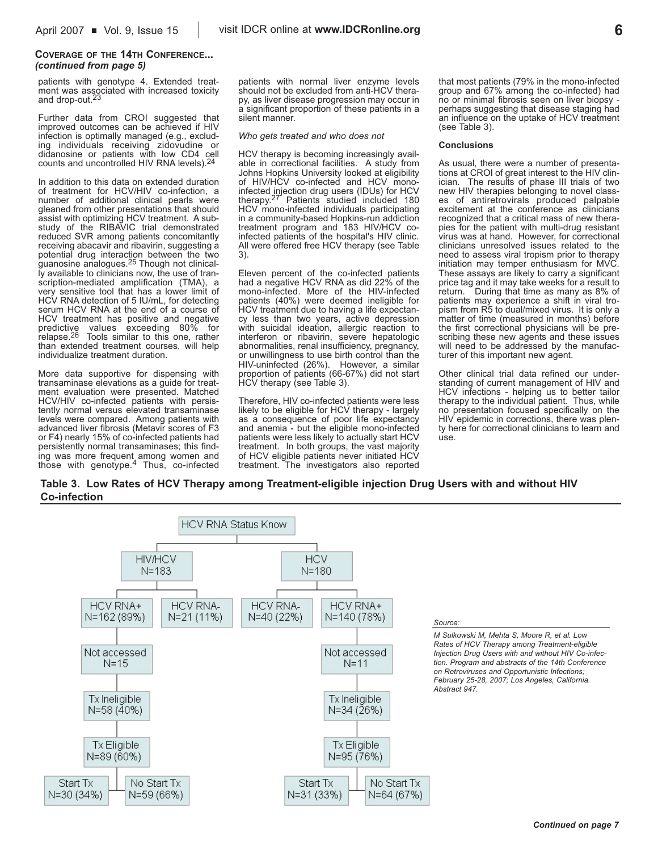#### **COVERAGE OF THE 14TH CONFERENCE...** *(continued from page 5)*

patients with genotype 4. Extended treatment was associated with increased toxicity and drop-out.23

Further data from CROI suggested that improved outcomes can be achieved if HIV infection is optimally managed (e.g., excluding individuals receiving zidovudine or didanosine or patients with low CD4 cell counts and uncontrolled HIV RNA levels).24

In addition to this data on extended duration of treatment for HCV/HIV co-infection, a number of additional clinical pearls were gleaned from other presentations that should assist with optimizing HCV treatment. A substudy of the RIBAVIC trial demonstrated reduced SVR among patients concomitantly receiving abacavir and ribavirin, suggesting a potential drug interaction between the two guanosine analogues.25 Though not clinically available to clinicians now, the use of transcription-mediated amplification (TMA), a very sensitive tool that has a lower limit of HCV RNA detection of 5 IU/mL, for detecting serum HCV RNA at the end of a course of HCV treatment has positive and negative predictive values exceeding 80% for relapse.26 Tools similar to this one, rather than extended treatment courses, will help individualize treatment duration.

More data supportive for dispensing with transaminase elevations as a guide for treatment evaluation were presented. Matched HCV/HIV co-infected patients with persistently normal versus elevated transaminase levels were compared. Among patients with advanced liver fibrosis (Metavir scores of F3 or F4) nearly 15% of co-infected patients had persistently normal transaminases; this finding was more frequent among women and those with genotype.4 Thus, co-infected

patients with normal liver enzyme levels should not be excluded from anti-HCV therapy, as liver disease progression may occur in a significant proportion of these patients in a silent manner.

*Who gets treated and who does not*

HCV therapy is becoming increasingly available in correctional facilities. A study from Johns Hopkins University looked at eligibility of HIV/HCV co-infected and HCV monoinfected injection drug users (IDUs) for HCV therapy.27 Patients studied included 180 HCV mono-infected individuals participating in a community-based Hopkins-run addiction treatment program and 183 HIV/HCV coinfected patients of the hospital's HIV clinic. All were offered free HCV therapy (see Table 3).

Eleven percent of the co-infected patients had a negative HCV RNA as did 22% of the mono-infected. More of the HIV-infected patients (40%) were deemed ineligible for HCV treatment due to having a life expectancy less than two years, active depression with suicidal ideation, allergic reaction to interferon or ribavirin, severe hepatologic abnormalities, renal insufficiency, pregnancy, or unwillingness to use birth control than the HIV-uninfected (26%). However, a similar proportion of patients (66-67%) did not start HCV therapy (see Table 3).

Therefore, HIV co-infected patients were less likely to be eligible for HCV therapy - largely as a consequence of poor life expectancy and anemia - but the eligible mono-infected patients were less likely to actually start HCV treatment. In both groups, the vast majority of HCV eligible patients never initiated HCV treatment. The investigators also reported that most patients (79% in the mono-infected group and 67% among the co-infected) had no or minimal fibrosis seen on liver biopsy perhaps suggesting that disease staging had an influence on the uptake of HCV treatment (see Table 3).

#### **Conclusions**

As usual, there were a number of presentations at CROI of great interest to the HIV clinician. The results of phase III trials of two new HIV therapies belonging to novel classes of antiretrovirals produced palpable excitement at the conference as clinicians recognized that a critical mass of new therapies for the patient with multi-drug resistant virus was at hand. However, for correctional clinicians unresolved issues related to the need to assess viral tropism prior to therapy initiation may temper enthusiasm for MVC. These assays are likely to carry a significant price tag and it may take weeks for a result to return. During that time as many as 8% of patients may experience a shift in viral tropism from R5 to dual/mixed virus. It is only a matter of time (measured in months) before the first correctional physicians will be prescribing these new agents and these issues will need to be addressed by the manufacturer of this important new agent.

Other clinical trial data refined our understanding of current management of HIV and HCV infections - helping us to better tailor therapy to the individual patient. Thus, while no presentation focused specifically on the HIV epidemic in corrections, there was plenty here for correctional clinicians to learn and use.

### **Table 3. Low Rates of HCV Therapy among Treatment-eligible injection Drug Users with and without HIV Co-infection**



#### *Source:*

*M Sulkowski M, Mehta S, Moore R, et al. Low Rates of HCV Therapy among Treatment-eligible Injection Drug Users with and without HIV Co-infection. Program and abstracts of the 14th Conference on Retroviruses and Opportunistic Infections; February 25-28, 2007; Los Angeles, California. Abstract 947.*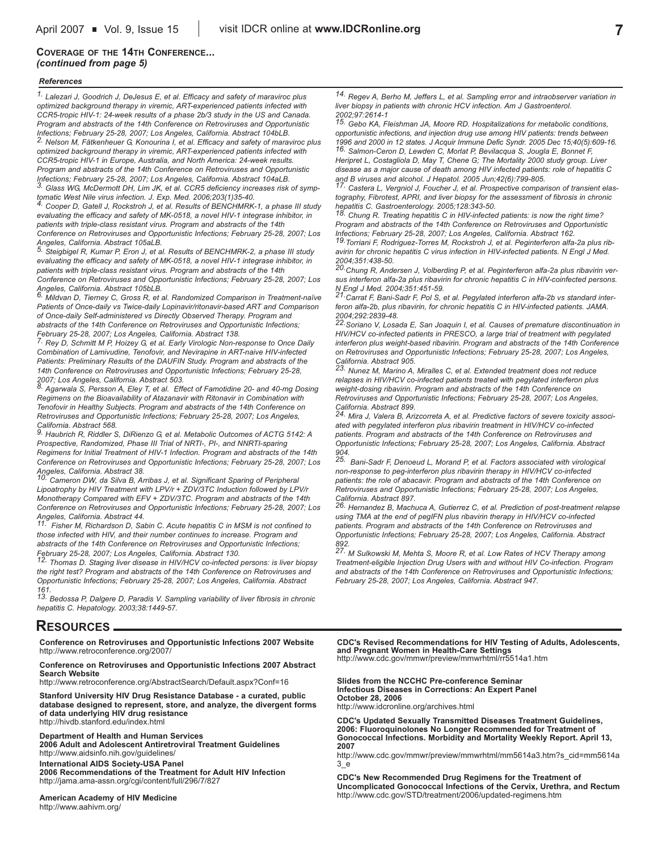### **COVERAGE OF THE 14TH CONFERENCE...** *(continued from page 5)*

#### *References*

*1. Lalezari J, Goodrich J, DeJesus E, et al. Efficacy and safety of maraviroc plus optimized background therapy in viremic, ART-experienced patients infected with CCR5-tropic HIV-1: 24-week results of a phase 2b/3 study in the US and Canada. Program and abstracts of the 14th Conference on Retroviruses and Opportunistic Infections; February 25-28, 2007; Los Angeles, California. Abstract 104bLB. 2. Nelson M, Fätkenheuer G, Konourina I, et al. Efficacy and safety of maraviroc plus optimized background therapy in viremic, ART-experienced patients infected with CCR5-tropic HIV-1 in Europe, Australia, and North America: 24-week results.*

*Program and abstracts of the 14th Conference on Retroviruses and Opportunistic Infections; February 25-28, 2007; Los Angeles, California. Abstract 104aLB. 3. Glass WG, McDermott DH, Lim JK, et al. CCR5 deficiency increases risk of symp-*

*tomatic West Nile virus infection. J. Exp. Med. 2006;203(1)35-40. 4. Cooper D, Gatell J, Rockstroh J, et al. Results of BENCHMRK-1, a phase III study*

*evaluating the efficacy and safety of MK-0518, a novel HIV-1 integrase inhibitor, in patients with triple-class resistant virus. Program and abstracts of the 14th Conference on Retroviruses and Opportunistic Infections; February 25-28, 2007; Los*

*Angeles, California. Abstract 105aLB. 5. Steigbigel R, Kumar P, Eron J, et al. Results of BENCHMRK-2, a phase III study evaluating the efficacy and safety of MK-0518, a novel HIV-1 integrase inhibitor, in patients with triple-class resistant virus. Program and abstracts of the 14th*

*Conference on Retroviruses and Opportunistic Infections; February 25-28, 2007; Los Angeles, California. Abstract 105bLB.*

*6. Mildvan D, Tierney C, Gross R, et al. Randomized Comparison in Treatment-naïve Patients of Once-daily vs Twice-daily Lopinavir/ritonavir-based ART and Comparison of Once-daily Self-administered vs Directly Observed Therapy. Program and abstracts of the 14th Conference on Retroviruses and Opportunistic Infections;*

*February 25-28, 2007; Los Angeles, California. Abstract 138. 7. Rey D, Schmitt M P, Hoizey G, et al. Early Virologic Non-response to Once Daily Combination of Lamivudine, Tenofovir, and Nevirapine in ART-naive HIV-infected Patients: Preliminary Results of the DAUFIN Study. Program and abstracts of the 14th Conference on Retroviruses and Opportunistic Infections; February 25-28,*

*2007; Los Angeles, California. Abstract 503. 8. Agarwala S, Persson A, Eley T, et al. Effect of Famotidine 20- and 40-mg Dosing Regimens on the Bioavailability of Atazanavir with Ritonavir in Combination with Tenofovir in Healthy Subjects. Program and abstracts of the 14th Conference on Retroviruses and Opportunistic Infections; February 25-28, 2007; Los Angeles, California. Abstract 568.* 

*9. Haubrich R, Riddler S, DiRienzo G, et al. Metabolic Outcomes of ACTG 5142: A Prospective, Randomized, Phase III Trial of NRTI-, PI-, and NNRTI-sparing Regimens for Initial Treatment of HIV-1 Infection. Program and abstracts of the 14th Conference on Retroviruses and Opportunistic Infections; February 25-28, 2007; Los*

*Angeles, California. Abstract 38. 10. Cameron DW, da Silva B, Arribas J, et al. Significant Sparing of Peripheral Lipoatrophy by HIV Treatment with LPV/r + ZDV/3TC Induction followed by LPV/r Monotherapy Compared with EFV + ZDV/3TC. Program and abstracts of the 14th Conference on Retroviruses and Opportunistic Infections; February 25-28, 2007; Los*

*Angeles, California. Abstract 44. 11. Fisher M, Richardson D, Sabin C. Acute hepatitis C in MSM is not confined to those infected with HIV, and their number continues to increase. Program and abstracts of the 14th Conference on Retroviruses and Opportunistic Infections;*

*February 25-28, 2007; Los Angeles, California. Abstract 130. 12. Thomas D. Staging liver disease in HIV/HCV co-infected persons: is liver biopsy the right test? Program and abstracts of the 14th Conference on Retroviruses and Opportunistic Infections; February 25-28, 2007; Los Angeles, California. Abstract 161.*

*13. Bedossa P, Dalgere D, Paradis V. Sampling variability of liver fibrosis in chronic hepatitis C. Hepatology. 2003;38:1449-57.*

### **RESOURCES**

**Conference on Retroviruses and Opportunistic Infections 2007 Website** http://www.retroconference.org/2007/

#### **Conference on Retroviruses and Opportunistic Infections 2007 Abstract Search Website**

http://www.retroconference.org/AbstractSearch/Default.aspx?Conf=16

**Stanford University HIV Drug Resistance Database - a curated, public database designed to represent, store, and analyze, the divergent forms of data underlying HIV drug resistance** http://hivdb.stanford.edu/index.html

**Department of Health and Human Services** 

**2006 Adult and Adolescent Antiretroviral Treatment Guidelines** http://www.aidsinfo.nih.gov/guidelines/ **International AIDS Society-USA Panel 2006 Recommendations of the Treatment for Adult HIV Infection**

http://jama.ama-assn.org/cgi/content/full/296/7/827

**American Academy of HIV Medicine** http://www.aahivm.org/

*14. Regev A, Berho M, Jeffers L, et al. Sampling error and intraobserver variation in liver biopsy in patients with chronic HCV infection. Am J Gastroenterol. 2002;97:2614-1*

*15. Gebo KA, Fleishman JA, Moore RD. Hospitalizations for metabolic conditions, opportunistic infections, and injection drug use among HIV patients: trends between 1996 and 2000 in 12 states. J Acquir Immune Defic Syndr. 2005 Dec 15;40(5):609-16. 16. Salmon-Ceron D, Lewden C, Morlat P, Bevilacqua S, Jougla E, Bonnet F,*

*Heripret L, Costagliola D, May T, Chene G; The Mortality 2000 study group. Liver disease as a major cause of death among HIV infected patients: role of hepatitis C and B viruses and alcohol. J Hepatol. 2005 Jun;42(6):799-805.*

*17. Castera L, Vergniol J, Foucher J, et al. Prospective comparison of transient elastography, Fibrotest, APRI, and liver biopsy for the assessment of fibrosis in chronic hepatitis C. Gastroenterology. 2005;128:343-50.*

*18. Chung R. Treating hepatitis C in HIV-infected patients: is now the right time? Program and abstracts of the 14th Conference on Retroviruses and Opportunistic Infections; February 25-28, 2007; Los Angeles, California. Abstract 162.*

*19.Torriani F, Rodriguez-Torres M, Rockstroh J, et al. Peginterferon alfa-2a plus ribavirin for chronic hepatitis C virus infection in HIV-infected patients. N Engl J Med. 2004;351:438-50.*

*20.Chung R, Andersen J, Volberding P, et al. Peginterferon alfa-2a plus ribavirin versus interferon alfa-2a plus ribavirin for chronic hepatitis C in HIV-coinfected persons. N Engl J Med. 2004;351:451-59.*

*21.Carrat F, Bani-Sadr F, Pol S, et al. Pegylated interferon alfa-2b vs standard interferon alfa-2b, plus ribavirin, for chronic hepatitis C in HIV-infected patients. JAMA. 2004;292:2839-48.*

*22.Soriano V, Losada E, San Joaquin I, et al. Causes of premature discontinuation in HIV/HCV co-infected patients in PRESCO, a large trial of treatment with pegylated interferon plus weight-based ribavirin. Program and abstracts of the 14th Conference on Retroviruses and Opportunistic Infections; February 25-28, 2007; Los Angeles,*

*California. Abstract 905. 23. Nunez M, Marino A, Miralles C, et al. Extended treatment does not reduce relapses in HIV/HCV co-infected patients treated with pegylated interferon plus weight-dosing ribavirin. Program and abstracts of the 14th Conference on Retroviruses and Opportunistic Infections; February 25-28, 2007; Los Angeles,*

*California. Abstract 899. 24. Mira J, Valera B, Arizcorreta A, et al. Predictive factors of severe toxicity associated with pegylated interferon plus ribavirin treatment in HIV/HCV co-infected patients. Program and abstracts of the 14th Conference on Retroviruses and Opportunistic Infections; February 25-28, 2007; Los Angeles, California. Abstract 904.*

*25. Bani-Sadr F, Denoeud L, Morand P, et al. Factors associated with virological non-response to peg-interferon plus ribavirin therapy in HIV/HCV co-infected patients: the role of abacavir. Program and abstracts of the 14th Conference on Retroviruses and Opportunistic Infections; February 25-28, 2007; Los Angeles,*

*California. Abstract 897. 26. Hernandez B, Machuca A, Gutierrez C, et al. Prediction of post-treatment relapse using TMA at the end of pegIFN plus ribavirin therapy in HIV/HCV co-infected patients. Program and abstracts of the 14th Conference on Retroviruses and Opportunistic Infections; February 25-28, 2007; Los Angeles, California. Abstract 892. 27. M Sulkowski M, Mehta S, Moore R, et al. Low Rates of HCV Therapy among*

*Treatment-eligible Injection Drug Users with and without HIV Co-infection. Program and abstracts of the 14th Conference on Retroviruses and Opportunistic Infections; February 25-28, 2007; Los Angeles, California. Abstract 947.*

**CDC's Revised Recommendations for HIV Testing of Adults, Adolescents, and Pregnant Women in Health-Care Settings** http://www.cdc.gov/mmwr/preview/mmwrhtml/rr5514a1.htm

**Slides from the NCCHC Pre-conference Seminar Infectious Diseases in Corrections: An Expert Panel October 28, 2006**

http://www.idcronline.org/archives.html

**CDC's Updated Sexually Transmitted Diseases Treatment Guidelines, 2006: Fluoroquinolones No Longer Recommended for Treatment of Gonococcal Infections. Morbidity and Mortality Weekly Report. April 13, 2007**

http://www.cdc.gov/mmwr/preview/mmwrhtml/mm5614a3.htm?s\_cid=mm5614a 3\_e

**CDC's New Recommended Drug Regimens for the Treatment of Uncomplicated Gonococcal Infections of the Cervix, Urethra, and Rectum**  http://www.cdc.gov/STD/treatment/2006/updated-regimens.htm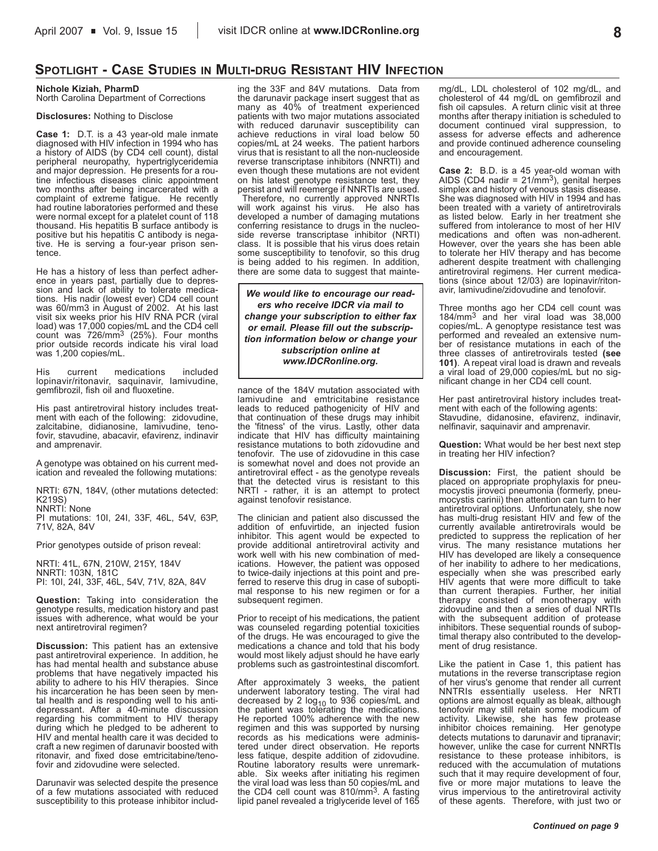# **SPOTLIGHT - CASE STUDIES IN MULTI-DRUG RESISTANT HIV INFECTION**

# **Nichole Kiziah, PharmD**

North Carolina Department of Corrections

#### **Disclosures:** Nothing to Disclose

**Case 1:** D.T. is a 43 year-old male inmate diagnosed with HIV infection in 1994 who has a history of AIDS (by CD4 cell count), distal peripheral neuropathy, hypertriglyceridemia and major depression. He presents for a routine infectious diseases clinic appointment two months after being incarcerated with a complaint of extreme fatigue. He recently had routine laboratories performed and these were normal except for a platelet count of 118 thousand. His hepatitis B surface antibody is positive but his hepatitis C antibody is negative. He is serving a four-year prison sentence.

He has a history of less than perfect adherence in years past, partially due to depression and lack of ability to tolerate medications. His nadir (lowest ever) CD4 cell count was 60/mm3 in August of 2002. At his last visit six weeks prior his HIV RNA PCR (viral load) was 17,000 copies/mL and the CD4 cell count was 726/mm3 (25%). Four months prior outside records indicate his viral load was 1,200 copies/mL.

His current medications included lopinavir/ritonavir, saquinavir, lamivudine, gemfibrozil, fish oil and fluoxetine.

His past antiretroviral history includes treatment with each of the following: zidovudine, zalcitabine, didianosine, lamivudine, tenofovir, stavudine, abacavir, efavirenz, indinavir and amprenavir.

A genotype was obtained on his current medication and revealed the following mutations:

NRTI: 67N, 184V, (other mutations detected: K219S)

NNRTI: None

PI mutations: 10I, 24I, 33F, 46L, 54V, 63P, 71V, 82A, 84V

Prior genotypes outside of prison reveal:

NRTI: 41L, 67N, 210W, 215Y, 184V NNRTI: 103N, 181C PI: 10I, 24I, 33F, 46L, 54V, 71V, 82A, 84V

**Question:** Taking into consideration the genotype results, medication history and past issues with adherence, what would be your next antiretroviral regimen?

**Discussion:** This patient has an extensive past antiretroviral experience. In addition, he has had mental health and substance abuse problems that have negatively impacted his ability to adhere to his HIV therapies. Since his incarceration he has been seen by mental health and is responding well to his antidepressant. After a 40-minute discussion regarding his commitment to HIV therapy during which he pledged to be adherent to HIV and mental health care it was decided to craft a new regimen of darunavir boosted with ritonavir, and fixed dose emtricitabine/tenofovir and zidovudine were selected.

Darunavir was selected despite the presence of a few mutations associated with reduced susceptibility to this protease inhibitor including the 33F and 84V mutations. Data from the darunavir package insert suggest that as many as 40% of treatment experienced patients with two major mutations associated with reduced darunavir susceptibility can achieve reductions in viral load below 50 copies/mL at 24 weeks. The patient harbors virus that is resistant to all the non-nucleoside reverse transcriptase inhibitors (NNRTI) and even though these mutations are not evident on his latest genotype resistance test, they persist and will reemerge if NNRTIs are used.

Therefore, no currently approved NNRTIs will work against his virus. He also has developed a number of damaging mutations conferring resistance to drugs in the nucleoside reverse transcriptase inhibitor (NRTI) class. It is possible that his virus does retain some susceptibility to tenofovir, so this drug is being added to his regimen. In addition, there are some data to suggest that mainte-

*We would like to encourage our readers who receive IDCR via mail to change your subscription to either fax or email. Please fill out the subscription information below or change your subscription online at www.IDCRonline.org.* 

nance of the 184V mutation associated with lamivudine and emtricitabine resistance leads to reduced pathogenicity of HIV and that continuation of these drugs may inhibit the 'fitness' of the virus. Lastly, other data indicate that HIV has difficulty maintaining resistance mutations to both zidovudine and tenofovir. The use of zidovudine in this case is somewhat novel and does not provide an antiretroviral effect - as the genotype reveals that the detected virus is resistant to this NRTI - rather, it is an attempt to protect against tenofovir resistance.

The clinician and patient also discussed the addition of enfuvirtide, an injected fusion inhibitor. This agent would be expected to provide additional antiretroviral activity and work well with his new combination of medications. However, the patient was opposed to twice-daily injections at this point and preferred to reserve this drug in case of suboptimal response to his new regimen or for a subsequent regimen.

Prior to receipt of his medications, the patient was counseled regarding potential toxicities of the drugs. He was encouraged to give the medications a chance and told that his body would most likely adjust should he have early problems such as gastrointestinal discomfort.

After approximately 3 weeks, the patient underwent laboratory testing. The viral had decreased by 2  $log_{10}$  to 936 copies/mL and the patient was tolerating the medications. He reported 100% adherence with the new regimen and this was supported by nursing records as his medications were administered under direct observation. He reports less fatique, despite addition of zidovudine. Routine laboratory results were unremarkable. Six weeks after initiating his regimen the viral load was less than 50 copies/mL and the CD4 cell count was 810/mm3. A fasting lipid panel revealed a triglyceride level of 165 mg/dL, LDL cholesterol of 102 mg/dL, and cholesterol of 44 mg/dL on gemfibrozil and fish oil capsules. A return clinic visit at three months after therapy initiation is scheduled to document continued viral suppression, to assess for adverse effects and adherence and provide continued adherence counseling and encouragement.

**Case 2:** B.D. is a 45 year-old woman with<br>AIDS (CD4 nadir = 21/mm<sup>3</sup>), genital herpes simplex and history of venous stasis disease. She was diagnosed with HIV in 1994 and has been treated with a variety of antiretrovirals as listed below. Early in her treatment she suffered from intolerance to most of her HIV medications and often was non-adherent. However, over the years she has been able to tolerate her HIV therapy and has become adherent despite treatment with challenging antiretroviral regimens. Her current medications (since about 12/03) are lopinavir/ritonavir, lamivudine/zidovudine and tenofovir.

Three months ago her CD4 cell count was 184/mm3 and her viral load was 38,000 copies/mL. A genoptype resistance test was performed and revealed an extensive number of resistance mutations in each of the three classes of antiretrovirals tested **(see 101)**. A repeat viral load is drawn and reveals a viral load of 29,000 copies/mL but no significant change in her CD4 cell count.

Her past antiretroviral history includes treatment with each of the following agents: Stavudine, didanosine, efavirenz, indinavir, nelfinavir, saquinavir and amprenavir.

**Question:** What would be her best next step in treating her HIV infection?

**Discussion:** First, the patient should be placed on appropriate prophylaxis for pneumocystis jiroveci pneumonia (formerly, pneumocystis carinii) then attention can turn to her antiretroviral options. Unfortunately, she now has multi-drug resistant HIV and few of the currently available antiretrovirals would be predicted to suppress the replication of her virus. The many resistance mutations her HIV has developed are likely a consequence of her inability to adhere to her medications, especially when she was prescribed early HIV agents that were more difficult to take than current therapies. Further, her initial therapy consisted of monotherapy with zidovudine and then a series of dual NRTIs with the subsequent addition of protease inhibitors. These sequential rounds of suboptimal therapy also contributed to the development of drug resistance.

Like the patient in Case 1, this patient has mutations in the reverse transcriptase region of her virus's genome that render all current NNTRIs essentially useless. Her NRTI options are almost equally as bleak, although tenofovir may still retain some modicum of activity. Likewise, she has few protease inhibitor choices remaining. Her genotype detects mutations to darunavir and tipranavir; however, unlike the case for current NNRTIs resistance to these protease inhibitors, is reduced with the accumulation of mutations such that it may require development of four, five or more major mutations to leave the virus impervious to the antiretroviral activity of these agents. Therefore, with just two or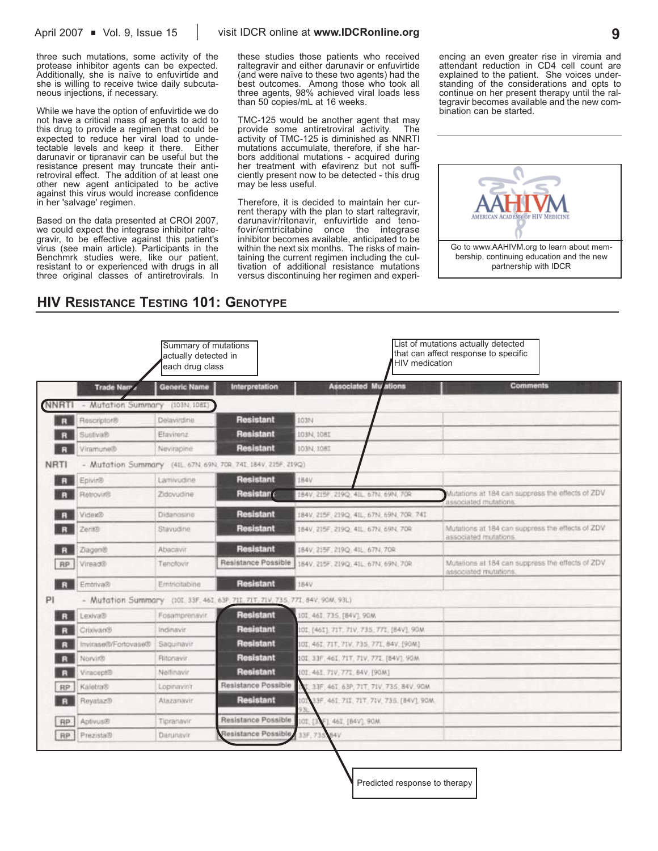three such mutations, some activity of the protease inhibitor agents can be expected. Additionally, she is naïve to enfuvirtide and she is willing to receive twice daily subcutaneous injections, if necessary.

While we have the option of enfuvirtide we do not have a critical mass of agents to add to this drug to provide a regimen that could be expected to reduce her viral load to unde-<br>tectable levels and keep it there. Either tectable levels and keep it there. darunavir or tipranavir can be useful but the resistance present may truncate their antiretroviral effect. The addition of at least one other new agent anticipated to be active against this virus would increase confidence in her 'salvage' regimen.

Based on the data presented at CROI 2007, we could expect the integrase inhibitor raltegravir, to be effective against this patient's virus (see main article). Participants in the Benchmrk studies were, like our patient, resistant to or experienced with drugs in all three original classes of antiretrovirals. In these studies those patients who received raltegravir and either darunavir or enfuvirtide (and were naïve to these two agents) had the best outcomes. Among those who took all three agents, 98% achieved viral loads less than 50 copies/mL at 16 weeks.

TMC-125 would be another agent that may provide some antiretroviral activity. The activity of TMC-125 is diminished as NNRTI mutations accumulate, therefore, if she harbors additional mutations - acquired during her treatment with efavirenz but not sufficiently present now to be detected - this drug may be less useful.

Therefore, it is decided to maintain her current therapy with the plan to start raltegravir, darunavir/ritonavir, enfuvirtide and tenofovir/emtricitabine once the integrase inhibitor becomes available, anticipated to be within the next six months. The risks of maintaining the current regimen including the cultivation of additional resistance mutations versus discontinuing her regimen and experiencing an even greater rise in viremia and attendant reduction in CD4 cell count are explained to the patient. She voices understanding of the considerations and opts to continue on her present therapy until the raltegravir becomes available and the new combination can be started.



# **HIV RESISTANCE TESTING 101: GENOTYPE**

|              |                                 | Summary of mutations<br>actually detected in<br>each drug class |                                                                                | List of mutations actually detected<br>that can affect response to specific<br>HIV medication |                                                                            |  |  |  |
|--------------|---------------------------------|-----------------------------------------------------------------|--------------------------------------------------------------------------------|-----------------------------------------------------------------------------------------------|----------------------------------------------------------------------------|--|--|--|
|              | Trade Nam                       | <b>Generic Name</b>                                             | Interpretation                                                                 | <b>Associated Mu'ations</b>                                                                   | <b>Comments</b>                                                            |  |  |  |
| <b>NNRTI</b> | - Mutation Summary (103N, 108T) |                                                                 |                                                                                |                                                                                               |                                                                            |  |  |  |
| R            | Rescriptor®                     | Delavirdine                                                     | <b>Resistant</b>                                                               | 103N                                                                                          |                                                                            |  |  |  |
|              | Sustiva®                        | Etavirenz                                                       | <b>Resistant</b>                                                               | 103N, 1081                                                                                    |                                                                            |  |  |  |
|              | Viramune®                       | Nevirapine                                                      | <b>Resistant</b>                                                               | IO3N: 108I                                                                                    |                                                                            |  |  |  |
| <b>NRTI</b>  |                                 |                                                                 | - Mutation Summary (41L, 67N, 69N, 70R, 741, 184V, 215F, 219Q)                 |                                                                                               |                                                                            |  |  |  |
|              | Epivir®                         | Lamivudine                                                      | <b>Resistant</b>                                                               | 184V                                                                                          |                                                                            |  |  |  |
|              | Retrovir®                       | Zidovudine                                                      | Resistan                                                                       | 184V, 215F, 219Q, 41L, 67N, 69N, 70R                                                          | Autations at 184 can suppress the effects of ZDV.<br>associated mutations. |  |  |  |
|              | Videx®                          | Didanosine                                                      | <b>Resistant</b>                                                               | 184V, 215F, 219Q, 41L, 67N, 69N, 70R, 741                                                     |                                                                            |  |  |  |
|              | Zerit®                          | Stavudine                                                       | <b>Resistant</b>                                                               | 184V, 215F, 219Q, 41L, 67N, 69N, 70R                                                          | Mutations at 184 can suppress the effects of ZDV<br>associated mutations.  |  |  |  |
| R            | Ziagen®                         | Abacavir                                                        | <b>Resistant</b>                                                               | 184V, 215F, 219Q, 41L, 67N, 70R                                                               |                                                                            |  |  |  |
| <b>RP</b>    | Viread®                         | Tenolovir                                                       | Resistance Possible                                                            | 184V, 215F, 219Q, 41L, 67N, 69N, 70R                                                          | Mutations at 184 can suppress the effects of ZDV<br>associated mutations.  |  |  |  |
| $\mathbf{R}$ | Emtriva®                        | Emtricitabine                                                   | <b>Resistant</b>                                                               | 184V                                                                                          |                                                                            |  |  |  |
| PI           |                                 |                                                                 | - Mutation Summary (101.33F. 461. 63P. 711. 71T. 71V. 735. 771. 84V. 90M. 93L) |                                                                                               |                                                                            |  |  |  |
|              | Ssviva3                         | Fosamprenavir                                                   | <b>Resistant</b>                                                               | 10I, 46I, 73S, (84V), 90M.                                                                    |                                                                            |  |  |  |
|              | Crixivan®                       | Indinavir                                                       | <b>Resistant</b>                                                               | 101, [461] 71T, 71V, 735, 771, [84V], 90M                                                     |                                                                            |  |  |  |
|              | Invirase®/Fortovase®            | Saquinavir                                                      | <b>Resistant</b>                                                               | IOI, 461, 71T, 71V, 735, 771, 84V, [90M]                                                      |                                                                            |  |  |  |
|              | Norvir®                         | Ritonavir                                                       | <b>Resistant</b>                                                               | 101 33F, 46I, 71T, 71V, 77I, [B4V], 90M                                                       |                                                                            |  |  |  |
|              | Viracept®                       | Nelfinavir.                                                     | <b>Resistant</b>                                                               | 101.461.71V.771.84V.[90M]                                                                     |                                                                            |  |  |  |
| RP.          | Kaletra®                        | Lopinavin'r                                                     | Resistance Possible                                                            | 33F, 46T, 63P, 71T, 71V, 73S, 84V, 90M                                                        |                                                                            |  |  |  |
|              | Revataz®                        | Atazanavir.                                                     | <b>Resistant</b>                                                               | 33F, 46I, 7II, 7IT, 7IV, 735, [84V], 90M.<br>ЮI                                               |                                                                            |  |  |  |
| <b>RP</b>    | Aptivus®                        | Tipranavir                                                      | Resistance Possible                                                            | F1 461, [84V], 90M<br>IOT. [3                                                                 |                                                                            |  |  |  |
| RP           | Prezista®                       | Darunavir                                                       | Resistance Possible                                                            | 33F, 73S<br><b>BAV</b>                                                                        |                                                                            |  |  |  |

Predicted response to therapy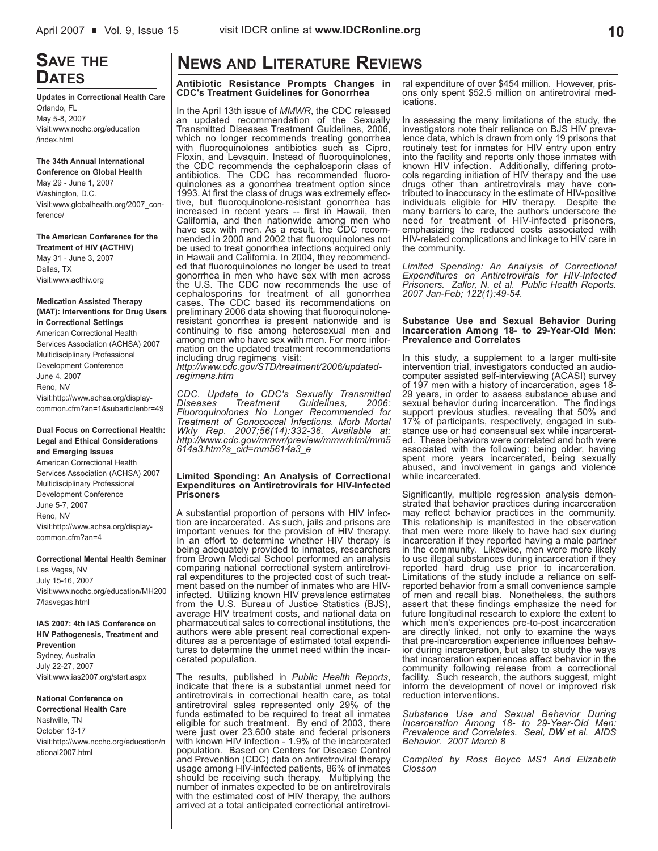# **SAVE THE DATES**

**Updates in Correctional Health Care** Orlando, FL May 5-8, 2007 Visit:www.ncchc.org/education /index.html

**The 34th Annual International Conference on Global Health** May 29 - June 1, 2007 Washington, D.C. Visit:www.globalhealth.org/2007\_conference/

**The American Conference for the**

**Treatment of HIV (ACTHIV)** May 31 - June 3, 2007 Dallas, TX Visit:www.acthiv.org

#### **Medication Assisted Therapy (MAT): Interventions for Drug Users in Correctional Settings**

American Correctional Health Services Association (ACHSA) 2007 Multidisciplinary Professional Development Conference June 4, 2007 Reno, NV Visit:http://www.achsa.org/displaycommon.cfm?an=1&subarticlenbr=49

### **Dual Focus on Correctional Health: Legal and Ethical Considerations and Emerging Issues**

American Correctional Health Services Association (ACHSA) 2007 Multidisciplinary Professional Development Conference June 5-7, 2007 Reno, NV Visit:http://www.achsa.org/displaycommon.cfm?an=4

**Correctional Mental Health Seminar**

Las Vegas, NV July 15-16, 2007 Visit:www.ncchc.org/education/MH200 7/lasvegas.html

**IAS 2007: 4th IAS Conference on HIV Pathogenesis, Treatment and Prevention** Sydney, Australia July 22-27, 2007

Visit:www.ias2007.org/start.aspx

### **National Conference on**

**Correctional Health Care** Nashville, TN October 13-17 Visit:http://www.ncchc.org/education/n ational2007.html

# **NEWS AND LITERATURE REVIEWS**

**Antibiotic Resistance Prompts Changes in CDC's Treatment Guidelines for Gonorrhea**

In the April 13th issue of *MMWR*, the CDC released an updated recommendation of the Sexually Transmitted Diseases Treatment Guidelines, 2006, which no longer recommends treating gonorrhea with fluoroquinolones antibiotics such as Cipro, Floxin, and Levaquin. Instead of fluoroquinolones, the CDC recommends the cephalosporin class of antibiotics. The CDC has recommended fluoroquinolones as a gonorrhea treatment option since 1993. At first the class of drugs was extremely effective, but fluoroquinolone-resistant gonorrhea has increased in recent years -- first in Hawaii, then California, and then nationwide among men who have sex with men. As a result, the CDC recommended in 2000 and 2002 that fluoroquinolones not be used to treat gonorrhea infections acquired only in Hawaii and California. In 2004, they recommended that fluoroquinolones no longer be used to treat gonorrhea in men who have sex with men across the U.S. The CDC now recommends the use of cephalosporins for treatment of all gonorrhea cases. The CDC based its recommendations on preliminary 2006 data showing that fluoroquinoloneresistant gonorrhea is present nationwide and is continuing to rise among heterosexual men and among men who have sex with men. For more information on the updated treatment recommendations including drug regimens visit: *http://www.cdc.gov/STD/treatment/2006/updatedregimens.htm*

*CDC. Update to CDC's Sexually Transmitted Diseases Treatment Guidelines, 2006: Fluoroquinolones No Longer Recommended for Treatment of Gonococcal Infections. Morb Mortal Wkly Rep. 2007;56(14):332-36. Available at: http://www.cdc.gov/mmwr/preview/mmwrhtml/mm5 614a3.htm?s\_cid=mm5614a3\_e*

#### **Limited Spending: An Analysis of Correctional Expenditures on Antiretrovirals for HIV-Infected Prisoners**

A substantial proportion of persons with HIV infection are incarcerated. As such, jails and prisons are important venues for the provision of HIV therapy. In an effort to determine whether HIV therapy is being adequately provided to inmates, researchers from Brown Medical School performed an analysis comparing national correctional system antiretroviral expenditures to the projected cost of such treatment based on the number of inmates who are HIVinfected. Utilizing known HIV prevalence estimates from the U.S. Bureau of Justice Statistics (BJS), average HIV treatment costs, and national data on pharmaceutical sales to correctional institutions, the authors were able present real correctional expenditures as a percentage of estimated total expenditures to determine the unmet need within the incarcerated population.

The results, published in *Public Health Reports*, indicate that there is a substantial unmet need for antiretrovirals in correctional health care, as total antiretroviral sales represented only 29% of the funds estimated to be required to treat all inmates eligible for such treatment. By end of 2003, there were just over 23,600 state and federal prisoners with known HIV infection - 1.9% of the incarcerated population. Based on Centers for Disease Control and Prevention (CDC) data on antiretroviral therapy usage among HIV-infected patients, 86% of inmates should be receiving such therapy. Multiplying the number of inmates expected to be on antiretrovirals with the estimated cost of HIV therapy, the authors arrived at a total anticipated correctional antiretroviral expenditure of over \$454 million. However, prisons only spent \$52.5 million on antiretroviral medications.

In assessing the many limitations of the study, the investigators note their reliance on BJS HIV prevalence data, which is drawn from only 19 prisons that routinely test for inmates for HIV entry upon entry into the facility and reports only those inmates with known HIV infection. Additionally, differing protocols regarding initiation of HIV therapy and the use drugs other than antiretrovirals may have contributed to inaccuracy in the estimate of HIV-positive individuals eligible for HIV therapy. Despite the many barriers to care, the authors underscore the need for treatment of HIV-infected prisoners, emphasizing the reduced costs associated with HIV-related complications and linkage to HIV care in the community.

*Limited Spending: An Analysis of Correctional Expenditures on Antiretrovirals for HIV-Infected Prisoners. Zaller, N. et al. Public Health Reports. 2007 Jan-Feb; 122(1):49-54.*

#### **Substance Use and Sexual Behavior During Incarceration Among 18- to 29-Year-Old Men: Prevalence and Correlates**

In this study, a supplement to a larger multi-site intervention trial, investigators conducted an audiocomputer assisted self-interviewing (ACASI) survey of 197 men with a history of incarceration, ages 18- 29 years, in order to assess substance abuse and sexual behavior during incarceration. The findings support previous studies, revealing that 50% and 17% of participants, respectively, engaged in substance use or had consensual sex while incarcerated. These behaviors were correlated and both were associated with the following: being older, having spent more years incarcerated, being sexually abused, and involvement in gangs and violence while incarcerated.

Significantly, multiple regression analysis demonstrated that behavior practices during incarceration may reflect behavior practices in the community. This relationship is manifested in the observation that men were more likely to have had sex during incarceration if they reported having a male partner in the community. Likewise, men were more likely to use illegal substances during incarceration if they reported hard drug use prior to incarceration. Limitations of the study include a reliance on selfreported behavior from a small convenience sample of men and recall bias. Nonetheless, the authors assert that these findings emphasize the need for future longitudinal research to explore the extent to which men's experiences pre-to-post incarceration are directly linked, not only to examine the ways that pre-incarceration experience influences behavior during incarceration, but also to study the ways that incarceration experiences affect behavior in the community following release from a correctional facility. Such research, the authors suggest, might inform the development of novel or improved risk reduction interventions.

*Substance Use and Sexual Behavior During Incarceration Among 18- to 29-Year-Old Men: Prevalence and Correlates. Seal, DW et al. AIDS Behavior. 2007 March 8*

*Compiled by Ross Boyce MS1 And Elizabeth Closson*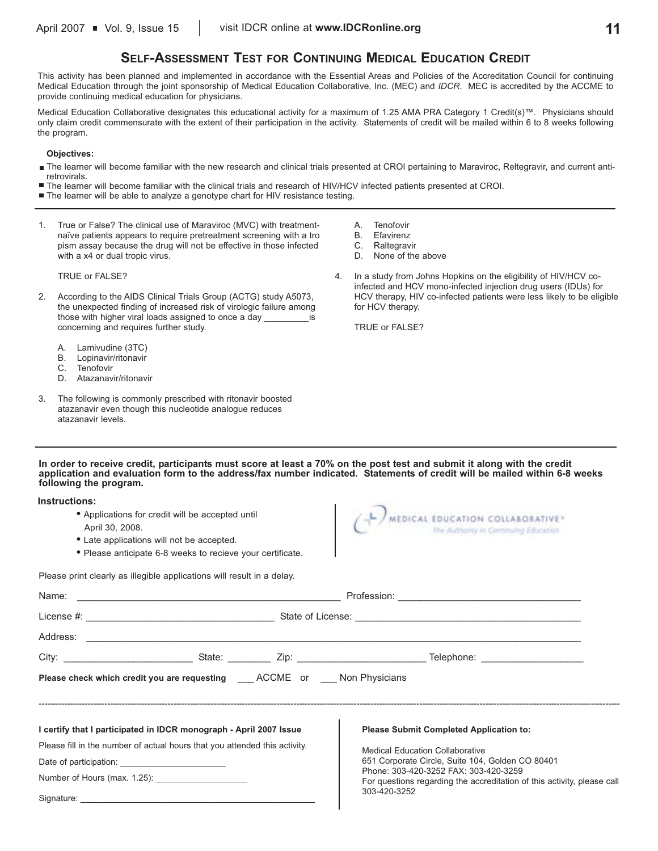# **SELF-ASSESSMENT TEST FOR CONTINUING MEDICAL EDUCATION CREDIT**

This activity has been planned and implemented in accordance with the Essential Areas and Policies of the Accreditation Council for continuing Medical Education through the joint sponsorship of Medical Education Collaborative, Inc. (MEC) and *IDCR*. MEC is accredited by the ACCME to provide continuing medical education for physicians.

Medical Education Collaborative designates this educational activity for a maximum of 1.25 AMA PRA Category 1 Credit(s)™. Physicians should only claim credit commensurate with the extent of their participation in the activity. Statements of credit will be mailed within 6 to 8 weeks following the program.

#### **Objectives:**

- The learner will become familiar with the new research and clinical trials presented at CROI pertaining to Maraviroc, Reltegravir, and current antiretrovirals.
- The learner will become familiar with the clinical trials and research of HIV/HCV infected patients presented at CROI.
- The learner will be able to analyze a genotype chart for HIV resistance testing.
- 1. True or False? The clinical use of Maraviroc (MVC) with treatmentnaïve patients appears to require pretreatment screening with a tro pism assay because the drug will not be effective in those infected with a x4 or dual tropic virus.

TRUE or FALSE?

- 2. According to the AIDS Clinical Trials Group (ACTG) study A5073, the unexpected finding of increased risk of virologic failure among those with higher viral loads assigned to once a day \_\_\_\_\_\_\_\_\_is concerning and requires further study.
	- A. Lamivudine (3TC)
	- B. Lopinavir/ritonavir
	- C. Tenofovir<br>D. Atazanav
	- Atazanavir/ritonavir
- 3. The following is commonly prescribed with ritonavir boosted atazanavir even though this nucleotide analogue reduces atazanavir levels.
- A. Tenofovir
- B. Efavirenz
- C. Raltegravir
- D. None of the above
- 4. In a study from Johns Hopkins on the eligibility of HIV/HCV coinfected and HCV mono-infected injection drug users (IDUs) for HCV therapy, HIV co-infected patients were less likely to be eligible for HCV therapy.

TRUE or FALSE?

**In order to receive credit, participants must score at least a 70% on the post test and submit it along with the credit application and evaluation form to the address/fax number indicated. Statements of credit will be mailed within 6-8 weeks following the program.**

**Instructions:**

- **•** Applications for credit will be accepted until
- April 30, 2008.
- **•** Late applications will not be accepted.
- **•** Please anticipate 6-8 weeks to recieve your certificate.



Please print clearly as illegible applications will result in a delay.

| Please check which credit you are requesting ACCME or Non Physicians       |  |  |                                                                                           |  |  |  |  |
|----------------------------------------------------------------------------|--|--|-------------------------------------------------------------------------------------------|--|--|--|--|
|                                                                            |  |  |                                                                                           |  |  |  |  |
| I certify that I participated in IDCR monograph - April 2007 Issue         |  |  | <b>Please Submit Completed Application to:</b>                                            |  |  |  |  |
| Please fill in the number of actual hours that you attended this activity. |  |  | <b>Medical Education Collaborative</b>                                                    |  |  |  |  |
|                                                                            |  |  | 651 Corporate Circle, Suite 104, Golden CO 80401<br>Phone: 303-420-3252 FAX: 303-420-3259 |  |  |  |  |
|                                                                            |  |  | For questions regarding the accreditation of this activity, please call                   |  |  |  |  |
|                                                                            |  |  | 303-420-3252                                                                              |  |  |  |  |